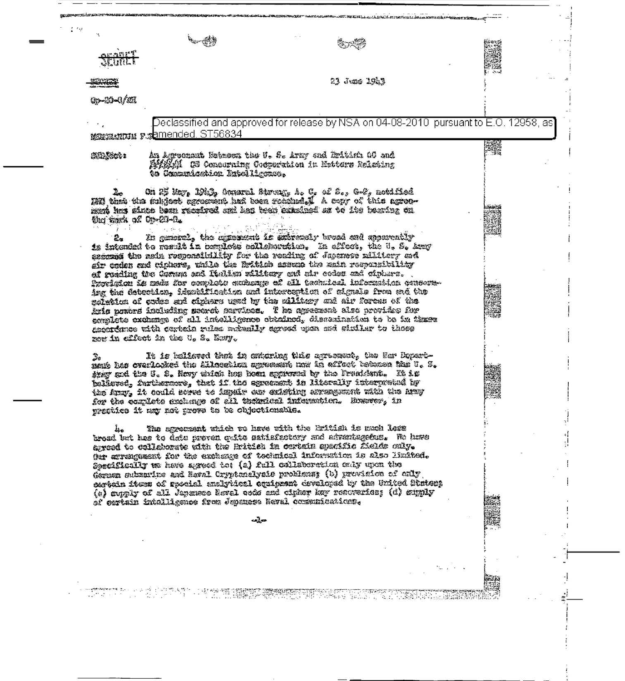|                      |                                                                                                                                                                                                                                                                                                                                                                                                                                                                                                                                                                                                                                                                                  | 23 June 1943 |  |  |
|----------------------|----------------------------------------------------------------------------------------------------------------------------------------------------------------------------------------------------------------------------------------------------------------------------------------------------------------------------------------------------------------------------------------------------------------------------------------------------------------------------------------------------------------------------------------------------------------------------------------------------------------------------------------------------------------------------------|--------------|--|--|
| <b>Gp-20-0/2E</b>    |                                                                                                                                                                                                                                                                                                                                                                                                                                                                                                                                                                                                                                                                                  |              |  |  |
|                      | Declassified and approved for release by NSA on 04-08-2010 pursuant to E.O. 12958, as<br>MARGARIAN FRAMended ST56834                                                                                                                                                                                                                                                                                                                                                                                                                                                                                                                                                             |              |  |  |
| SIL COL              | An Agreemant Retmens the U. S. Army and Raitinh AC and<br>Fight IS Concerning Conservation in Extters Ralating<br>to Commutication Intelligence.                                                                                                                                                                                                                                                                                                                                                                                                                                                                                                                                 |              |  |  |
| the wask of Op-20-0. | On 25 May, 1923, Comurs1 Streng, A. C. of S., G-2, motified<br>worken also the subject agreement had been reached. A copy of this agree-<br>munt has state been reculred ond has twee camalasd on to its hearing on<br>In general, the agreement is arirectly broad and apparently<br>is intended to result in complete adlishmention, In affect, the U. S. Army<br>assecue the rain responsibility for the reading of Japanese militery and<br>air coden and ciphers, while the Rritich assume the main responsibility                                                                                                                                                          |              |  |  |
|                      | of reading the Coman and Italian rilitæry and air codes and ciptura.<br>Provigion is made for complete enchange of all technical information conseru-<br>ing the detection, identification and interception of signals from and the<br>naintica of codes and ciphers used by the military and air forcus of the<br>Ario powers including secret services. The agreement also provides for<br>complete exchange of all intelligence obtained, dissemination to be in thuse<br>assordance with certain rules muhally agread upon and winilar to those<br>new in effect in the U. S. Bavy.                                                                                          |              |  |  |
| $\frac{3}{2}$ a      | It is balieved that in ontering this agreement, the Ner Depart-<br>mante has creflocked the Allocation agreement now in affort technoca the U. S.<br>they and the J. S. Nevy which has been approved by the President. It is<br>believed, furthermore, that if the sgreement is literally interpreted by<br>the Army, it could sorre to impair our existing arrengement with the Army<br>for the cordists exchange of all terarical information. However, in<br>prestica it may not prove to be objectionable.                                                                                                                                                                   |              |  |  |
|                      | The agreement which we have with the Rritiah is much less<br>broad but has to date preven quite satisfactory and advantagebus. We have<br>agreed to cellaborate with the British in certain specific fields caly.<br>Our arrangement for the exchange of technical information is also limited.<br>Specifically we have agreed the (2) full collaboration only upon the<br>German submarine and Hewal Oryptenelysis problems; (b) provision of only<br>certain fiems of special analytical equipeent developed by the United Staten:<br>(c) suply of all Japanese Revel code and cipher hay resoveries; (d) sumly<br>of certain intelligence from Japanese Reval communications. |              |  |  |
|                      |                                                                                                                                                                                                                                                                                                                                                                                                                                                                                                                                                                                                                                                                                  | حالب         |  |  |
|                      |                                                                                                                                                                                                                                                                                                                                                                                                                                                                                                                                                                                                                                                                                  |              |  |  |
|                      |                                                                                                                                                                                                                                                                                                                                                                                                                                                                                                                                                                                                                                                                                  |              |  |  |